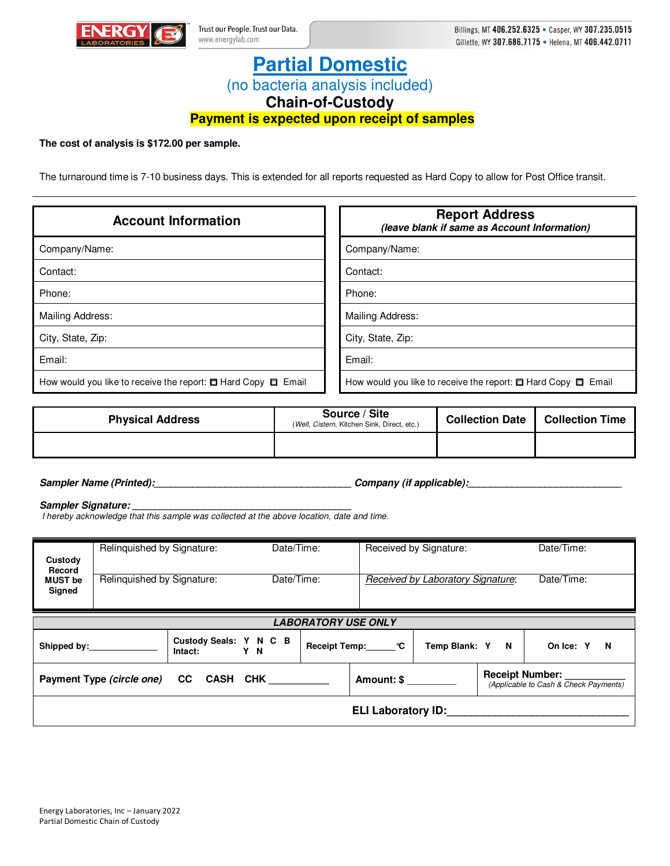

# **Partial Domestic**  (no bacteria analysis included)

**Chain-of-Custody** 

**Payment is expected upon receipt of samples**

## **The cost of analysis is \$172.00 per sample.**

The turnaround time is 7-10 business days. This is extended for all reports requested as Hard Copy to allow for Post Office transit.

| <b>Account Information</b>                                              | <b>Report Address</b><br>(leave blank if same as Account Information)   |  |  |  |
|-------------------------------------------------------------------------|-------------------------------------------------------------------------|--|--|--|
| Company/Name:                                                           | Company/Name:                                                           |  |  |  |
| Contact:                                                                | Contact:                                                                |  |  |  |
| Phone:                                                                  | Phone:                                                                  |  |  |  |
| Mailing Address:                                                        | Mailing Address:                                                        |  |  |  |
| City, State, Zip:                                                       | City, State, Zip:                                                       |  |  |  |
| Email:                                                                  | Email:                                                                  |  |  |  |
| How would you like to receive the report: $\Box$ Hard Copy $\Box$ Email | How would you like to receive the report: $\Box$ Hard Copy $\Box$ Email |  |  |  |

| <b>Physical Address</b> | Source / Site<br>(Well, Cistern, Kitchen Sink, Direct, etc.) | <b>Collection Date</b> | <b>Collection Time</b> |
|-------------------------|--------------------------------------------------------------|------------------------|------------------------|
|                         |                                                              |                        |                        |

**Sampler Name (Printed):\_\_\_\_\_\_\_\_\_\_\_\_\_\_\_\_\_\_\_\_\_\_\_\_\_\_\_\_\_\_\_\_\_\_\_\_ Company (if applicable):\_\_\_\_\_\_\_\_\_\_\_\_\_\_\_\_\_\_\_\_\_\_\_\_\_\_\_\_** 

### Sampler Signature:

I hereby acknowledge that this sample was collected at the above location, date and time.

| Custody<br>Record                                                                                                      | Relinquished by Signature: |                                          | Date/Time: |  |                 | Received by Signature:            | Date/Time: |                       |
|------------------------------------------------------------------------------------------------------------------------|----------------------------|------------------------------------------|------------|--|-----------------|-----------------------------------|------------|-----------------------|
| <b>MUST</b> be<br>Signed                                                                                               | Relinquished by Signature: |                                          | Date/Time: |  |                 | Received by Laboratory Signature: |            | Date/Time:            |
| <b>LABORATORY USE ONLY</b>                                                                                             |                            |                                          |            |  |                 |                                   |            |                       |
|                                                                                                                        | Shipped by:_______________ | Custody Seals: Y N C B<br>Intact:<br>Y N |            |  | Receipt Temp: C | Temp Blank: Y N                   |            | On Ice: Y<br><b>N</b> |
| <b>Receipt Number:</b><br>Payment Type (circle one) CC CASH CHK<br>Amount: \$<br>(Applicable to Cash & Check Payments) |                            |                                          |            |  |                 |                                   |            |                       |
| <b>ELI Laboratory ID:</b>                                                                                              |                            |                                          |            |  |                 |                                   |            |                       |